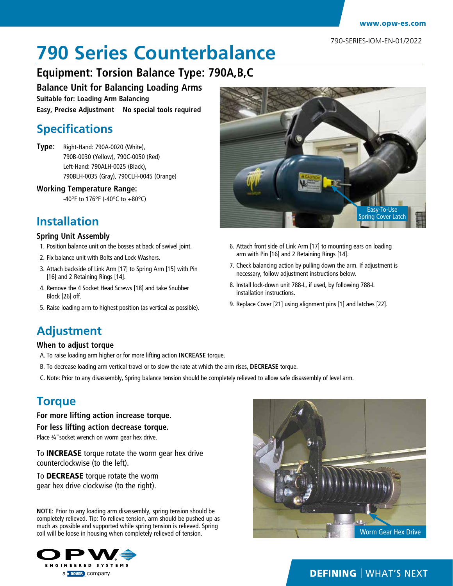790-SERIES-IOM-EN-01/2022

# **790 Series Counterbalance**

### **Equipment: Torsion Balance Type: 790A,B,C**

**Balance Unit for Balancing Loading Arms Suitable for: Loading Arm Balancing**

**Easy, Precise Adjustment No special tools required**

### **Specifications**

**Type:** Right-Hand: 790A-0020 (White), 790B-0030 (Yellow), 790C-0050 (Red) Left-Hand: 790ALH-0025 (Black), 790BLH-0035 (Gray), 790CLH-0045 (Orange)

#### **Working Temperature Range:**

-40°F to 176°F (-40°C to +80°C)

### **Installation**

#### **Spring Unit Assembly**

- 1. Position balance unit on the bosses at back of swivel joint.
- 2. Fix balance unit with Bolts and Lock Washers.
- 3. Attach backside of Link Arm [17] to Spring Arm [15] with Pin [16] and 2 Retaining Rings [14].
- 4. Remove the 4 Socket Head Screws [18] and take Snubber Block [26] off.
- 5. Raise loading arm to highest position (as vertical as possible).



- 6. Attach front side of Link Arm [17] to mounting ears on loading arm with Pin [16] and 2 Retaining Rings [14].
- 7. Check balancing action by pulling down the arm. If adjustment is necessary, follow adjustment instructions below.
- 8. Install lock-down unit 788-L, if used, by following 788-L installation instructions.
- 9. Replace Cover [21] using alignment pins [1] and latches [22].

# **Adjustment**

#### **When to adjust torque**

- A. To raise loading arm higher or for more lifting action **INCREASE** torque.
- B. To decrease loading arm vertical travel or to slow the rate at which the arm rises, **DECREASE** torque.
- C. Note: Prior to any disassembly, Spring balance tension should be completely relieved to allow safe disassembly of level arm.

### **Torque**

## **For more lifting action increase torque.**

**For less lifting action decrease torque.** Place ¾"socket wrench on worm gear hex drive.

To INCREASE torque rotate the worm gear hex drive counterclockwise (to the left).

To DECREASE torque rotate the worm gear hex drive clockwise (to the right).

**NOTE:** Prior to any loading arm disassembly, spring tension should be completely relieved. Tip: To relieve tension, arm should be pushed up as much as possible and supported while spring tension is relieved. Spring coil will be loose in housing when completely relieved of tension.





#### **DEFINING | WHAT'S NEXT**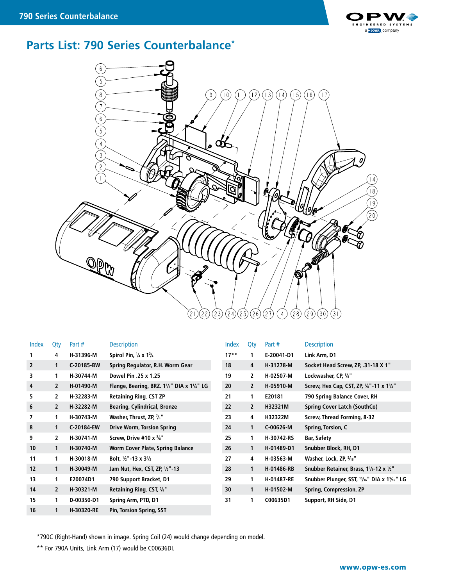

### **Parts List: 790 Series Counterbalance\***



| Index | Qty            | Part #     | <b>Description</b>                                               | Index  | Qty            | Part#      | <b>Description</b>                                                    |
|-------|----------------|------------|------------------------------------------------------------------|--------|----------------|------------|-----------------------------------------------------------------------|
|       | 4              | H-31396-M  | Spirol Pin, $\frac{1}{4}$ x 1 $\frac{3}{4}$                      | $17**$ | 1              | E-20041-D1 | Link Arm, D1                                                          |
| 2     | 1              | C-20185-BW | Spring Regulator, R.H. Worm Gear                                 | 18     | 4              | H-31278-M  | Socket Head Screw, ZP, .31-18 X 1"                                    |
| 3     | 1              | H-30744-M  | Dowel Pin .25 x 1.25                                             | 19     | $\mathbf{2}$   | H-02507-M  | Lockwasher, CP, %"                                                    |
| 4     | $\overline{2}$ | H-01490-M  | Flange, Bearing, BRZ. $1\frac{1}{2}$ " DIA x $1\frac{1}{4}$ " LG | 20     | $\overline{2}$ | H-05910-M  | Screw, Hex Cap, CST, ZP, 5/8"-11 x 13/4"                              |
| 5     | 2              | H-32283-M  | <b>Retaining Ring, CST ZP</b>                                    | 21     | 1              | E20181     | 790 Spring Balance Cover, RH                                          |
| 6     | 2              | H-32282-M  | <b>Bearing, Cylindrical, Bronze</b>                              | 22     | $\overline{2}$ | H32321M    | Spring Cover Latch (SouthCo)                                          |
| 7     | 1              | H-30743-M  | Washer, Thrust, ZP, 1/8"                                         | 23     | 4              | H32322M    | Screw, Thread Forming, 8-32                                           |
| 8     | $\mathbf{1}$   | C-20184-EW | <b>Drive Worm, Torsion Spring</b>                                | 24     | $\mathbf{1}$   | C-00626-M  | Spring, Torsion, C                                                    |
| 9     | $\mathbf{2}$   | H-30741-M  | Screw, Drive #10 $x \frac{3}{8}$ "                               | 25     | 1              | H-30742-RS | <b>Bar, Safety</b>                                                    |
| 10    | $\mathbf{1}$   | H-30740-M  | <b>Worm Cover Plate, Spring Balance</b>                          | 26     | $\mathbf{1}$   | H-01489-D1 | Snubber Block, RH, D1                                                 |
| 11    | 1              | H-30018-M  | Bolt, $1/2$ "-13 x 3 $1/2$                                       | 27     | 4              | H-03563-M  | Washer, Lock, ZP, 5/16"                                               |
| 12    | 1              | H-30049-M  | Jam Nut, Hex, CST, ZP, 1/2"-13                                   | 28     | $\mathbf{1}$   | H-01486-RB | Snubber Retainer, Brass, 11/8-12 x 1/2"                               |
| 13    | 1              | E20074D1   | 790 Support Bracket, D1                                          | 29     | 1              | H-01487-RE | Snubber Plunger, SST, <sup>15</sup> /16" DIA x 1 <sup>9</sup> /16" LG |
| 14    | $\mathbf{2}$   | H-30321-M  | Retaining Ring, CST, %"                                          | 30     | 1              | H-01502-M  | Spring, Compression, ZP                                               |
| 15    | 1              | D-00350-D1 | Spring Arm, PTD, D1                                              | 31     | 1              | C00635D1   | Support, RH Side, D1                                                  |
| 16    | 1              | H-30320-RE | <b>Pin, Torsion Spring, SST</b>                                  |        |                |            |                                                                       |

\*790C (Right-Hand) shown in image. Spring Coil (24) would change depending on model.

\*\* For 790A Units, Link Arm (17) would be C00636DI.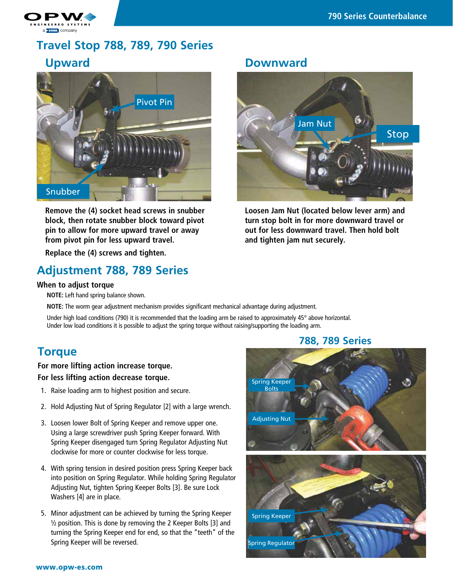

# **Travel Stop 788, 789, 790 Series Upward**



**Remove the (4) socket head screws in snubber block, then rotate snubber block toward pivot pin to allow for more upward travel or away from pivot pin for less upward travel.**

**Replace the (4) screws and tighten.**

### **Adjustment 788, 789 Series**

#### **When to adjust torque**

**NOTE:** Left hand spring balance shown.

**NOTE:** The worm gear adjustment mechanism provides significant mechanical advantage during adjustment.

Under high load conditions (790) it is recommended that the loading arm be raised to approximately 45° above horizontal. Under low load conditions it is possible to adjust the spring torque without raising/supporting the loading arm.

### **Torque**

#### **For more lifting action increase torque. For less lifting action decrease torque.**

- 1. Raise loading arm to highest position and secure.
- 2. Hold Adjusting Nut of Spring Regulator [2] with a large wrench.
- 3. Loosen lower Bolt of Spring Keeper and remove upper one. Using a large screwdriver push Spring Keeper forward. With Spring Keeper disengaged turn Spring Regulator Adjusting Nut clockwise for more or counter clockwise for less torque.
- 4. With spring tension in desired position press Spring Keeper back into position on Spring Regulator. While holding Spring Regulator Adjusting Nut, tighten Spring Keeper Bolts [3]. Be sure Lock Washers [4] are in place.
- 5. Minor adjustment can be achieved by turning the Spring Keeper  $\frac{1}{2}$  position. This is done by removing the 2 Keeper Bolts [3] and turning the Spring Keeper end for end, so that the "teeth" of the Spring Keeper will be reversed.

#### **Downward**



**Loosen Jam Nut (located below lever arm) and turn stop bolt in for more downward travel or out for less downward travel. Then hold bolt and tighten jam nut securely.**



#### **788, 789 Series**